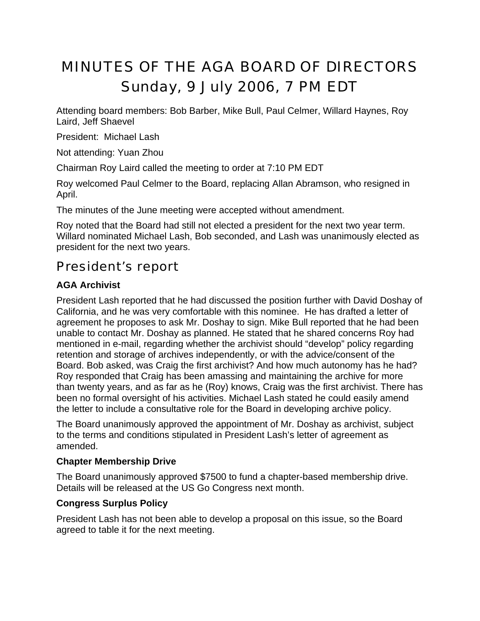# MINUTES OF THE AGA BOARD OF DIRECTORS Sunday, 9 July 2006, 7 PM EDT

Attending board members: Bob Barber, Mike Bull, Paul Celmer, Willard Haynes, Roy Laird, Jeff Shaevel

President: Michael Lash

Not attending: Yuan Zhou

Chairman Roy Laird called the meeting to order at 7:10 PM EDT

Roy welcomed Paul Celmer to the Board, replacing Allan Abramson, who resigned in April.

The minutes of the June meeting were accepted without amendment.

Roy noted that the Board had still not elected a president for the next two year term. Willard nominated Michael Lash, Bob seconded, and Lash was unanimously elected as president for the next two years.

# President's report

## **AGA Archivist**

President Lash reported that he had discussed the position further with David Doshay of California, and he was very comfortable with this nominee. He has drafted a letter of agreement he proposes to ask Mr. Doshay to sign. Mike Bull reported that he had been unable to contact Mr. Doshay as planned. He stated that he shared concerns Roy had mentioned in e-mail, regarding whether the archivist should "develop" policy regarding retention and storage of archives independently, or with the advice/consent of the Board. Bob asked, was Craig the first archivist? And how much autonomy has he had? Roy responded that Craig has been amassing and maintaining the archive for more than twenty years, and as far as he (Roy) knows, Craig was the first archivist. There has been no formal oversight of his activities. Michael Lash stated he could easily amend the letter to include a consultative role for the Board in developing archive policy.

The Board unanimously approved the appointment of Mr. Doshay as archivist, subject to the terms and conditions stipulated in President Lash's letter of agreement as amended.

#### **Chapter Membership Drive**

The Board unanimously approved \$7500 to fund a chapter-based membership drive. Details will be released at the US Go Congress next month.

## **Congress Surplus Policy**

President Lash has not been able to develop a proposal on this issue, so the Board agreed to table it for the next meeting.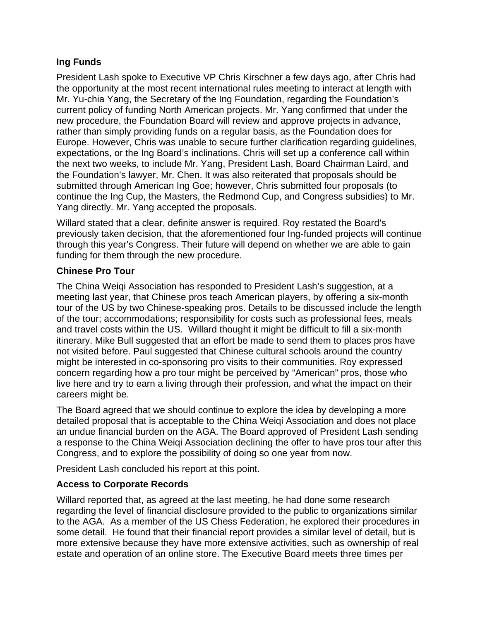#### **Ing Funds**

President Lash spoke to Executive VP Chris Kirschner a few days ago, after Chris had the opportunity at the most recent international rules meeting to interact at length with Mr. Yu-chia Yang, the Secretary of the Ing Foundation, regarding the Foundation's current policy of funding North American projects. Mr. Yang confirmed that under the new procedure, the Foundation Board will review and approve projects in advance, rather than simply providing funds on a regular basis, as the Foundation does for Europe. However, Chris was unable to secure further clarification regarding guidelines, expectations, or the Ing Board's inclinations. Chris will set up a conference call within the next two weeks, to include Mr. Yang, President Lash, Board Chairman Laird, and the Foundation's lawyer, Mr. Chen. It was also reiterated that proposals should be submitted through American Ing Goe; however, Chris submitted four proposals (to continue the Ing Cup, the Masters, the Redmond Cup, and Congress subsidies) to Mr. Yang directly. Mr. Yang accepted the proposals.

Willard stated that a clear, definite answer is required. Roy restated the Board's previously taken decision, that the aforementioned four Ing-funded projects will continue through this year's Congress. Their future will depend on whether we are able to gain funding for them through the new procedure.

#### **Chinese Pro Tour**

The China Weiqi Association has responded to President Lash's suggestion, at a meeting last year, that Chinese pros teach American players, by offering a six-month tour of the US by two Chinese-speaking pros. Details to be discussed include the length of the tour; accommodations; responsibility for costs such as professional fees, meals and travel costs within the US. Willard thought it might be difficult to fill a six-month itinerary. Mike Bull suggested that an effort be made to send them to places pros have not visited before. Paul suggested that Chinese cultural schools around the country might be interested in co-sponsoring pro visits to their communities. Roy expressed concern regarding how a pro tour might be perceived by "American" pros, those who live here and try to earn a living through their profession, and what the impact on their careers might be.

The Board agreed that we should continue to explore the idea by developing a more detailed proposal that is acceptable to the China Weiqi Association and does not place an undue financial burden on the AGA. The Board approved of President Lash sending a response to the China Weiqi Association declining the offer to have pros tour after this Congress, and to explore the possibility of doing so one year from now.

President Lash concluded his report at this point.

#### **Access to Corporate Records**

Willard reported that, as agreed at the last meeting, he had done some research regarding the level of financial disclosure provided to the public to organizations similar to the AGA. As a member of the US Chess Federation, he explored their procedures in some detail. He found that their financial report provides a similar level of detail, but is more extensive because they have more extensive activities, such as ownership of real estate and operation of an online store. The Executive Board meets three times per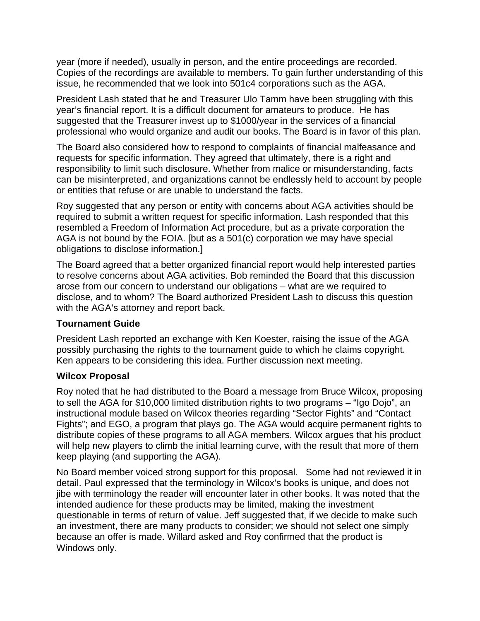year (more if needed), usually in person, and the entire proceedings are recorded. Copies of the recordings are available to members. To gain further understanding of this issue, he recommended that we look into 501c4 corporations such as the AGA.

President Lash stated that he and Treasurer Ulo Tamm have been struggling with this year's financial report. It is a difficult document for amateurs to produce. He has suggested that the Treasurer invest up to \$1000/year in the services of a financial professional who would organize and audit our books. The Board is in favor of this plan.

The Board also considered how to respond to complaints of financial malfeasance and requests for specific information. They agreed that ultimately, there is a right and responsibility to limit such disclosure. Whether from malice or misunderstanding, facts can be misinterpreted, and organizations cannot be endlessly held to account by people or entities that refuse or are unable to understand the facts.

Roy suggested that any person or entity with concerns about AGA activities should be required to submit a written request for specific information. Lash responded that this resembled a Freedom of Information Act procedure, but as a private corporation the AGA is not bound by the FOIA. [but as a 501(c) corporation we may have special obligations to disclose information.]

The Board agreed that a better organized financial report would help interested parties to resolve concerns about AGA activities. Bob reminded the Board that this discussion arose from our concern to understand our obligations – what are we required to disclose, and to whom? The Board authorized President Lash to discuss this question with the AGA's attorney and report back.

#### **Tournament Guide**

President Lash reported an exchange with Ken Koester, raising the issue of the AGA possibly purchasing the rights to the tournament guide to which he claims copyright. Ken appears to be considering this idea. Further discussion next meeting.

#### **Wilcox Proposal**

Roy noted that he had distributed to the Board a message from Bruce Wilcox, proposing to sell the AGA for \$10,000 limited distribution rights to two programs – "Igo Dojo", an instructional module based on Wilcox theories regarding "Sector Fights" and "Contact Fights"; and EGO, a program that plays go. The AGA would acquire permanent rights to distribute copies of these programs to all AGA members. Wilcox argues that his product will help new players to climb the initial learning curve, with the result that more of them keep playing (and supporting the AGA).

No Board member voiced strong support for this proposal. Some had not reviewed it in detail. Paul expressed that the terminology in Wilcox's books is unique, and does not jibe with terminology the reader will encounter later in other books. It was noted that the intended audience for these products may be limited, making the investment questionable in terms of return of value. Jeff suggested that, if we decide to make such an investment, there are many products to consider; we should not select one simply because an offer is made. Willard asked and Roy confirmed that the product is Windows only.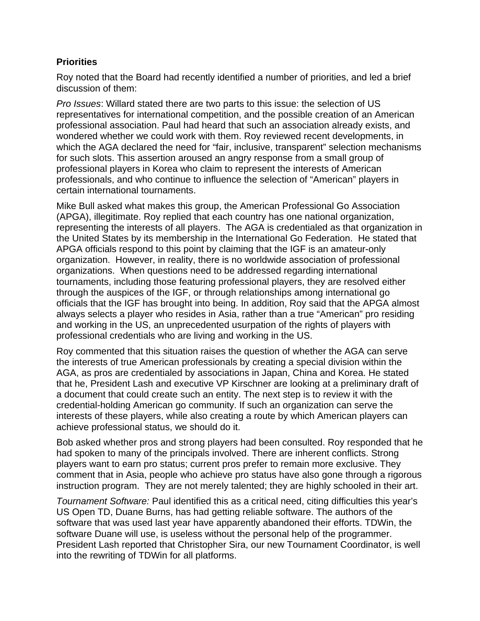#### **Priorities**

Roy noted that the Board had recently identified a number of priorities, and led a brief discussion of them:

*Pro Issues*: Willard stated there are two parts to this issue: the selection of US representatives for international competition, and the possible creation of an American professional association. Paul had heard that such an association already exists, and wondered whether we could work with them. Roy reviewed recent developments, in which the AGA declared the need for "fair, inclusive, transparent" selection mechanisms for such slots. This assertion aroused an angry response from a small group of professional players in Korea who claim to represent the interests of American professionals, and who continue to influence the selection of "American" players in certain international tournaments.

Mike Bull asked what makes this group, the American Professional Go Association (APGA), illegitimate. Roy replied that each country has one national organization, representing the interests of all players. The AGA is credentialed as that organization in the United States by its membership in the International Go Federation. He stated that APGA officials respond to this point by claiming that the IGF is an amateur-only organization. However, in reality, there is no worldwide association of professional organizations. When questions need to be addressed regarding international tournaments, including those featuring professional players, they are resolved either through the auspices of the IGF, or through relationships among international go officials that the IGF has brought into being. In addition, Roy said that the APGA almost always selects a player who resides in Asia, rather than a true "American" pro residing and working in the US, an unprecedented usurpation of the rights of players with professional credentials who are living and working in the US.

Roy commented that this situation raises the question of whether the AGA can serve the interests of true American professionals by creating a special division within the AGA, as pros are credentialed by associations in Japan, China and Korea. He stated that he, President Lash and executive VP Kirschner are looking at a preliminary draft of a document that could create such an entity. The next step is to review it with the credential-holding American go community. If such an organization can serve the interests of these players, while also creating a route by which American players can achieve professional status, we should do it.

Bob asked whether pros and strong players had been consulted. Roy responded that he had spoken to many of the principals involved. There are inherent conflicts. Strong players want to earn pro status; current pros prefer to remain more exclusive. They comment that in Asia, people who achieve pro status have also gone through a rigorous instruction program. They are not merely talented; they are highly schooled in their art.

*Tournament Software:* Paul identified this as a critical need, citing difficulties this year's US Open TD, Duane Burns, has had getting reliable software. The authors of the software that was used last year have apparently abandoned their efforts. TDWin, the software Duane will use, is useless without the personal help of the programmer. President Lash reported that Christopher Sira, our new Tournament Coordinator, is well into the rewriting of TDWin for all platforms.